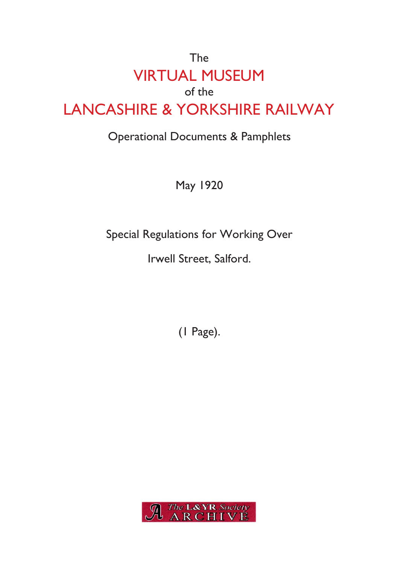# The VIRTUAL MUSEUM of the LANCASHIRE & YORKSHIRE RAILWAY

## Operational Documents & Pamphlets

May 1920

Special Regulations for Working Over

Irwell Street, Salford.

(1 Page).